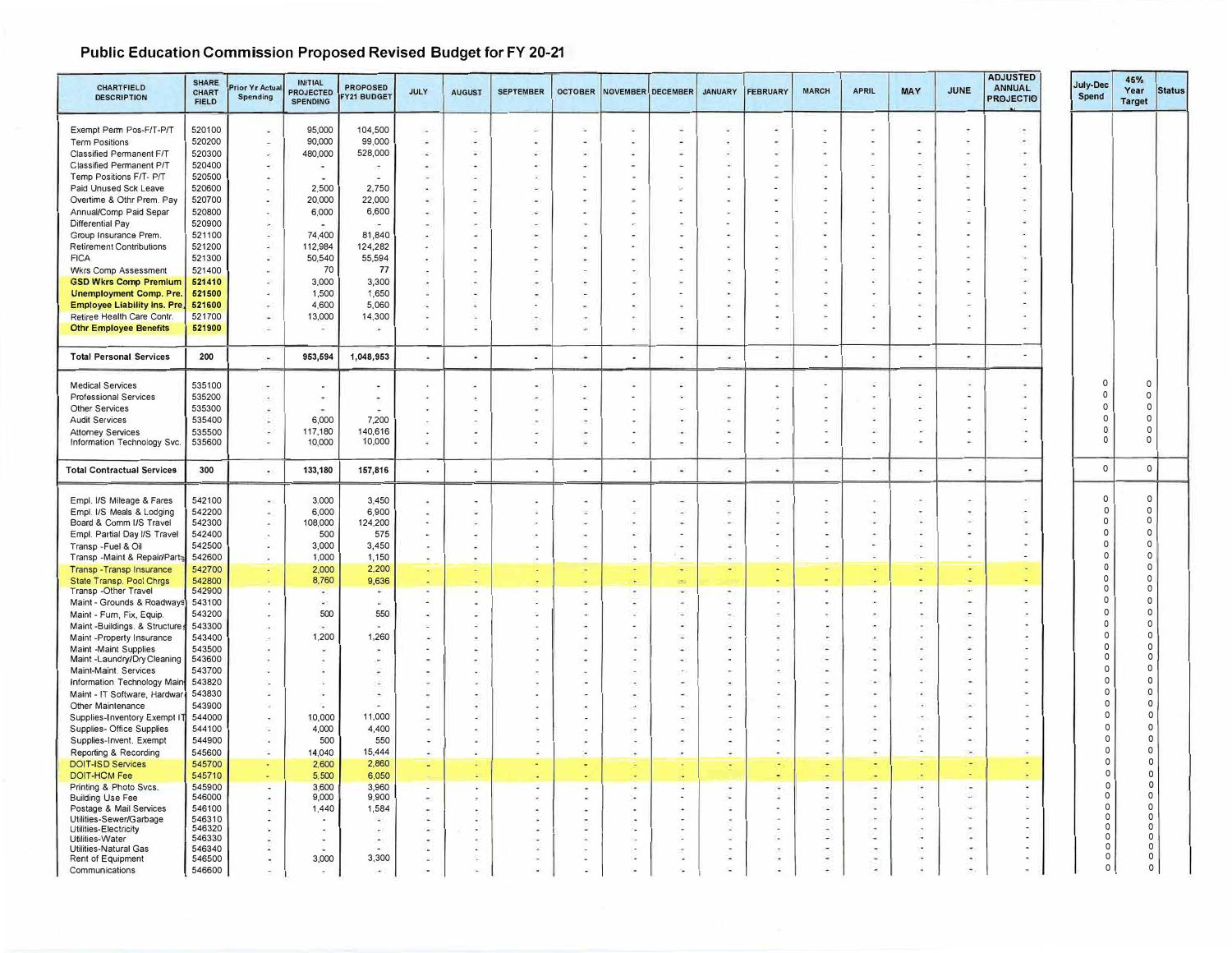## **Public Education Commission Proposed Revised Budget for FY 20-21**

| <b>CHARTFIELD</b>                                           | <b>SHARE</b><br><b>CHART</b> | rior Yr Actua            | <b>INITIAL</b><br><b>PROJECTED</b> | <b>PROPOSED</b>    | <b>JULY</b>              | <b>AUGUST</b>        | <b>SEPTEMBER</b> |                          |                          | OCTOBER NOVEMBER DECEMBER | <b>JANUARY</b>           | <b>FEBRUARY</b>          | <b>MARCH</b> | <b>APRIL</b>             | MAY                      | <b>JUNE</b>                        | <b>ADJUSTED</b><br><b>ANNUAL</b> | July-Dec             | 45%<br>Year             | <b>Status</b> |
|-------------------------------------------------------------|------------------------------|--------------------------|------------------------------------|--------------------|--------------------------|----------------------|------------------|--------------------------|--------------------------|---------------------------|--------------------------|--------------------------|--------------|--------------------------|--------------------------|------------------------------------|----------------------------------|----------------------|-------------------------|---------------|
| <b>DESCRIPTION</b>                                          | <b>FIELD</b>                 | <b>Spending</b>          | <b>SPENDING</b>                    | <b>FY21 BUDGET</b> |                          |                      |                  |                          |                          |                           |                          |                          |              |                          |                          |                                    | <b>PROJECTIO</b>                 | Spend                | <b>Target</b>           |               |
| Exempt Perm Pos-F/T-P/T                                     | 520100                       |                          | 95,000                             | 104,500            | ÷.                       | ÷                    |                  |                          |                          |                           |                          |                          |              |                          |                          |                                    |                                  |                      |                         |               |
| <b>Term Positions</b>                                       | 520200                       |                          | 90,000                             | 99,000             | $\sim$                   |                      |                  |                          |                          |                           |                          |                          |              |                          |                          |                                    |                                  |                      |                         |               |
| Classified Permanent F/T                                    | 520300                       |                          | 480,000                            | 528,000            | ×                        |                      |                  |                          |                          |                           |                          |                          |              |                          |                          |                                    |                                  |                      |                         |               |
| Classified Permanent P/T                                    | 520400                       |                          | $\overline{\phantom{a}}$           |                    |                          |                      |                  |                          |                          |                           |                          |                          |              |                          |                          |                                    |                                  |                      |                         |               |
| Temp Positions F/T- P/T                                     | 520500                       |                          |                                    |                    |                          |                      |                  |                          |                          |                           |                          |                          |              |                          |                          |                                    |                                  |                      |                         |               |
| Paid Unused Sck Leave<br>Overtime & Othr Prem. Pay          | 520600<br>520700             |                          | 2.500<br>20,000                    | 2.750<br>22,000    | ٠                        |                      |                  |                          |                          |                           |                          |                          |              |                          |                          |                                    |                                  |                      |                         |               |
| Annual/Comp Paid Separ                                      | 520800                       |                          | 6,000                              | 6,600              |                          |                      |                  |                          |                          |                           |                          |                          |              |                          |                          |                                    |                                  |                      |                         |               |
| <b>Differential Pay</b>                                     | 520900                       |                          |                                    |                    |                          |                      |                  |                          |                          |                           |                          |                          |              |                          |                          | ÷                                  | ÷                                |                      |                         |               |
| Group Insurance Prem.                                       | 521100                       |                          | 74,400                             | 81,840             |                          |                      |                  |                          |                          |                           |                          |                          |              |                          |                          |                                    |                                  |                      |                         |               |
| <b>Retirement Contributions</b>                             | 521200                       |                          | 112,984                            | 124,282            |                          |                      |                  |                          |                          |                           |                          |                          |              |                          |                          |                                    |                                  |                      |                         |               |
| <b>FICA</b>                                                 | 521300<br>521400             |                          | 50,540<br>70                       | 55,594<br>77       |                          |                      |                  |                          |                          |                           |                          |                          |              |                          |                          |                                    |                                  |                      |                         |               |
| <b>Wkrs Comp Assessment</b><br><b>GSD Wkrs Comp Premium</b> | 521410                       | ×                        | 3,000                              | 3,300              |                          |                      |                  |                          |                          |                           |                          |                          |              |                          |                          |                                    |                                  |                      |                         |               |
| <b>Unemployment Comp. Pre.</b>                              | 521500                       |                          | 1,500                              | 1,650              |                          |                      |                  |                          |                          |                           |                          |                          |              |                          |                          |                                    |                                  |                      |                         |               |
| <b>Employee Liability Ins. Pre</b>                          | 521600                       |                          | 4,600                              | 5.060              |                          |                      |                  |                          |                          |                           |                          |                          |              |                          |                          |                                    |                                  |                      |                         |               |
| Retiree Health Care Contr.                                  | 521700                       | ÷                        | 13,000                             | 14,300             |                          |                      |                  |                          |                          |                           |                          |                          |              |                          |                          |                                    |                                  |                      |                         |               |
| <b>Othr Employee Benefits</b>                               | 521900                       |                          | $\sim$                             |                    |                          |                      |                  |                          |                          |                           |                          |                          |              |                          |                          |                                    |                                  |                      |                         |               |
| <b>Total Personal Services</b>                              | 200                          | $\overline{\phantom{a}}$ | 953,594                            | 1,048,953          | n.                       | i.                   | $\sim$           | $\sim$                   | $\overline{\phantom{a}}$ | $\mathbf{a}^{\prime}$     | A.                       | $\overline{\phantom{a}}$ | ٠            | $\overline{\phantom{a}}$ | r.                       | $\bullet$                          | $\blacksquare$                   |                      |                         |               |
| <b>Medical Services</b>                                     | 535100                       | $\sim$                   |                                    |                    |                          |                      |                  |                          |                          |                           |                          |                          |              |                          |                          |                                    |                                  | $\Omega$             | $\Omega$                |               |
| <b>Professional Services</b>                                | 535200                       |                          |                                    |                    |                          |                      |                  |                          |                          |                           |                          |                          |              |                          |                          |                                    |                                  | $\Omega$             | $\mathsf{o}$            |               |
| <b>Other Services</b>                                       | 535300                       |                          |                                    |                    |                          |                      |                  |                          |                          |                           |                          |                          |              |                          |                          |                                    | ٠                                | C<br>$\Omega$        | $\circ$<br>$\circ$      |               |
| <b>Audit Services</b><br><b>Attomey Services</b>            | 535400<br>535500             | $\sim$                   | 6,000<br>117,180                   | 7,200<br>140,616   |                          |                      |                  |                          |                          |                           | à.                       |                          |              |                          |                          |                                    |                                  | n                    | $\circ$                 |               |
| Information Technology Svc.                                 | 535600                       |                          | 10,000                             | 10,000             |                          |                      |                  |                          |                          |                           |                          |                          |              |                          |                          |                                    |                                  | 0                    | $\circ$                 |               |
|                                                             |                              |                          |                                    |                    |                          |                      |                  |                          |                          |                           |                          |                          |              |                          |                          |                                    |                                  |                      |                         |               |
| <b>Total Contractual Services</b>                           | 300                          | $\bullet$                | 133,180                            | 157,816            | $\bullet$                | $\ddot{\phantom{1}}$ |                  | ٠                        | $\omega$                 | $\sim$                    | $\overline{\phantom{a}}$ | ٠                        | ×            | $\overline{\phantom{a}}$ | $\overline{\phantom{a}}$ | $\bullet$                          | ×                                | 0                    | $\mathsf{o}$            |               |
|                                                             |                              |                          |                                    |                    |                          |                      |                  |                          |                          |                           |                          |                          |              |                          |                          |                                    |                                  |                      |                         |               |
| Empl. I/S Mileage & Fares                                   | 542100                       |                          | 3,000                              | 3,450              |                          |                      |                  |                          |                          |                           |                          |                          |              |                          |                          |                                    |                                  | $\Omega$<br>$\Omega$ | $\mathsf{o}$<br>$\circ$ |               |
| Empl. I/S Meals & Lodging<br>Board & Comm I/S Travel        | 542200<br>542300             | $\sim$                   | 6,000<br>108,000                   | 6,900<br>124,200   | ×,<br>$\blacksquare$     |                      |                  |                          |                          |                           |                          |                          |              |                          |                          | ×                                  |                                  | 0                    | $\circ$                 |               |
| Empl. Partial Day I/S Travel                                | 542400                       |                          | 500                                | 575                |                          |                      |                  |                          |                          |                           |                          |                          |              |                          |                          |                                    |                                  | $\Omega$             | $\circ$                 |               |
| Transp - Fuel & Oil                                         | 542500                       |                          | 3,000                              | 3,450              |                          |                      |                  |                          | ×                        |                           | z                        |                          | ٠            |                          |                          | ×                                  | $\overline{a}$                   | $\Omega$             | $\circ$                 |               |
| Transp -Maint & Repair/Parts                                | 542600                       |                          | 1,000                              | 1,150              | $\overline{\phantom{a}}$ |                      |                  |                          |                          |                           |                          |                          |              |                          |                          | ×,                                 |                                  | $\Omega$<br>$\Omega$ | $\circ$<br>$\circ$      |               |
| Transp - Transp Insurance                                   | 542700<br>542800             |                          | 2,000<br>8,760                     | 2,200<br>9,636     | $\blacksquare$           |                      |                  | $\overline{\phantom{a}}$ |                          |                           | ٠                        |                          |              |                          |                          | ÷                                  |                                  | $\Omega$             | 0                       |               |
| State Transp. Pool Chrgs<br>Transp - Other Travel           | 542900                       |                          |                                    |                    |                          |                      |                  |                          |                          |                           | $\overline{a}$           |                          | ٠            |                          |                          | $\overline{a}$                     |                                  | O                    | $\circ$                 |               |
| Maint - Grounds & Roadways                                  | 543100                       |                          | in 1                               | ×                  |                          |                      |                  |                          |                          |                           |                          |                          |              |                          |                          | œ.                                 | ۰                                | $\cap$               | $\circ$                 |               |
| Maint - Furn, Fix, Equip.                                   | 543200                       |                          | 500                                | 550                |                          |                      |                  |                          |                          |                           |                          |                          |              |                          |                          | $\overline{\phantom{a}}$           |                                  |                      | $\circ$<br>$\circ$      |               |
| Maint-Buildings. & Structure                                | 543300<br>543400             |                          | 1,200                              | 1,260              |                          |                      |                  |                          |                          |                           |                          |                          |              |                          |                          |                                    |                                  | -0<br>$\Omega$       | $\circ$                 |               |
| Maint -Property Insurance<br>Maint -Maint Supplies          | 543500                       |                          |                                    |                    |                          |                      |                  |                          |                          |                           |                          |                          |              |                          |                          |                                    |                                  | $\Omega$             | $\circ$                 |               |
| Maint -Laundry/Dry Cleaning                                 | 543600                       |                          |                                    |                    |                          |                      |                  |                          |                          |                           |                          |                          |              |                          |                          |                                    |                                  | $\Omega$             | $\circ$                 |               |
| Maint-Maint. Services                                       | 543700                       |                          |                                    |                    |                          |                      |                  |                          |                          |                           |                          |                          |              |                          |                          |                                    |                                  | $\Omega$             | $\circ$                 |               |
| Information Technology Main                                 | 543820<br>543830             |                          |                                    |                    |                          |                      |                  |                          |                          |                           |                          |                          |              |                          |                          | ×                                  | ÷                                | $\Omega$<br>n        | $\circ$<br>$\circ$      |               |
| Maint - IT Software, Hardwar<br>Other Maintenance           | 543900                       |                          |                                    |                    |                          |                      |                  |                          |                          |                           |                          |                          |              |                          |                          | $\sim$                             |                                  |                      | $\circ$                 |               |
| Supplies-Inventory Exempt IT                                | 544000                       |                          | 10,000                             | 11,000             |                          |                      |                  |                          |                          |                           |                          |                          |              |                          |                          | ä,                                 |                                  |                      | $\Omega$                |               |
| Supplies- Office Supplies                                   | 544100                       |                          | 4,000                              | 4,400              | ٠                        |                      |                  |                          |                          |                           |                          |                          |              |                          |                          | $\overline{\phantom{a}}$           |                                  |                      | $\Omega$                |               |
| Supplies-Invent. Exempt                                     | 544900                       |                          | 500                                | 550                | ۷                        |                      |                  | a.                       | $\tilde{\phantom{a}}$    |                           |                          |                          |              |                          | a.                       | ×.                                 |                                  |                      | $\Omega$                |               |
| Reporting & Recording                                       | 545600                       |                          | 14,040                             | 15,444             | $\bullet$                |                      |                  | ×                        | ٠                        |                           | ٠                        |                          |              |                          |                          | $\overline{\phantom{a}}$           | ×                                | n                    | $\circ$<br>$\Omega$     |               |
| <b>DOIT-ISD Services</b><br><b>DOIT-HCM Fee</b>             | 545700<br>545710             |                          | 2,600<br>5,500                     | 2,860<br>6,050     | ٠                        |                      |                  |                          |                          |                           | ٠                        |                          |              |                          |                          | ٠                                  |                                  |                      | $\Omega$                |               |
| Printing & Photo Svcs.                                      | 545900                       |                          | 3,600                              | 3,960              | $\blacksquare$           |                      |                  |                          |                          |                           |                          |                          |              |                          |                          | ٠                                  |                                  |                      | $\Omega$<br>$\Omega$    |               |
| <b>Building Use Fee</b>                                     | 546000<br>546100             |                          | 9,000<br>1,440                     | 9,900<br>1,584     |                          |                      |                  |                          |                          |                           |                          |                          | ÷<br>×       |                          |                          | ٠<br>٠                             |                                  |                      | $\Omega$                |               |
| Postage & Mail Services<br>Utilities-Sewer/Garbage          | 546310                       |                          |                                    |                    |                          |                      |                  |                          |                          |                           |                          |                          |              |                          |                          | $\overline{\phantom{a}}$           |                                  |                      | $\Omega$                |               |
| <b>Utilities-Electricity</b>                                | 546320                       |                          |                                    |                    | ۰                        |                      |                  |                          |                          |                           |                          |                          |              |                          |                          | $\overline{a}$                     |                                  |                      | $\Omega$<br>$\circ$     |               |
| <b>Utilities-Water</b><br>Utilities-Natural Gas             | 546330<br>546340             |                          |                                    |                    | $\bullet$<br>$\sim$      |                      |                  |                          |                          |                           |                          |                          | ÷            |                          |                          | $\sim$<br>$\overline{\phantom{a}}$ | $\overline{\phantom{a}}$         | $\Omega$             | $\Omega$                |               |
| Rent of Equipment                                           | 546500                       |                          | 3,000                              | 3,300              | ۰                        |                      |                  |                          |                          |                           |                          |                          |              |                          |                          |                                    |                                  | $\Omega$             | $\Omega$                |               |
| Communications                                              | 546600                       |                          |                                    |                    |                          |                      |                  |                          |                          |                           | ÷                        |                          |              |                          |                          |                                    |                                  | $\circ$              | $\circ$                 |               |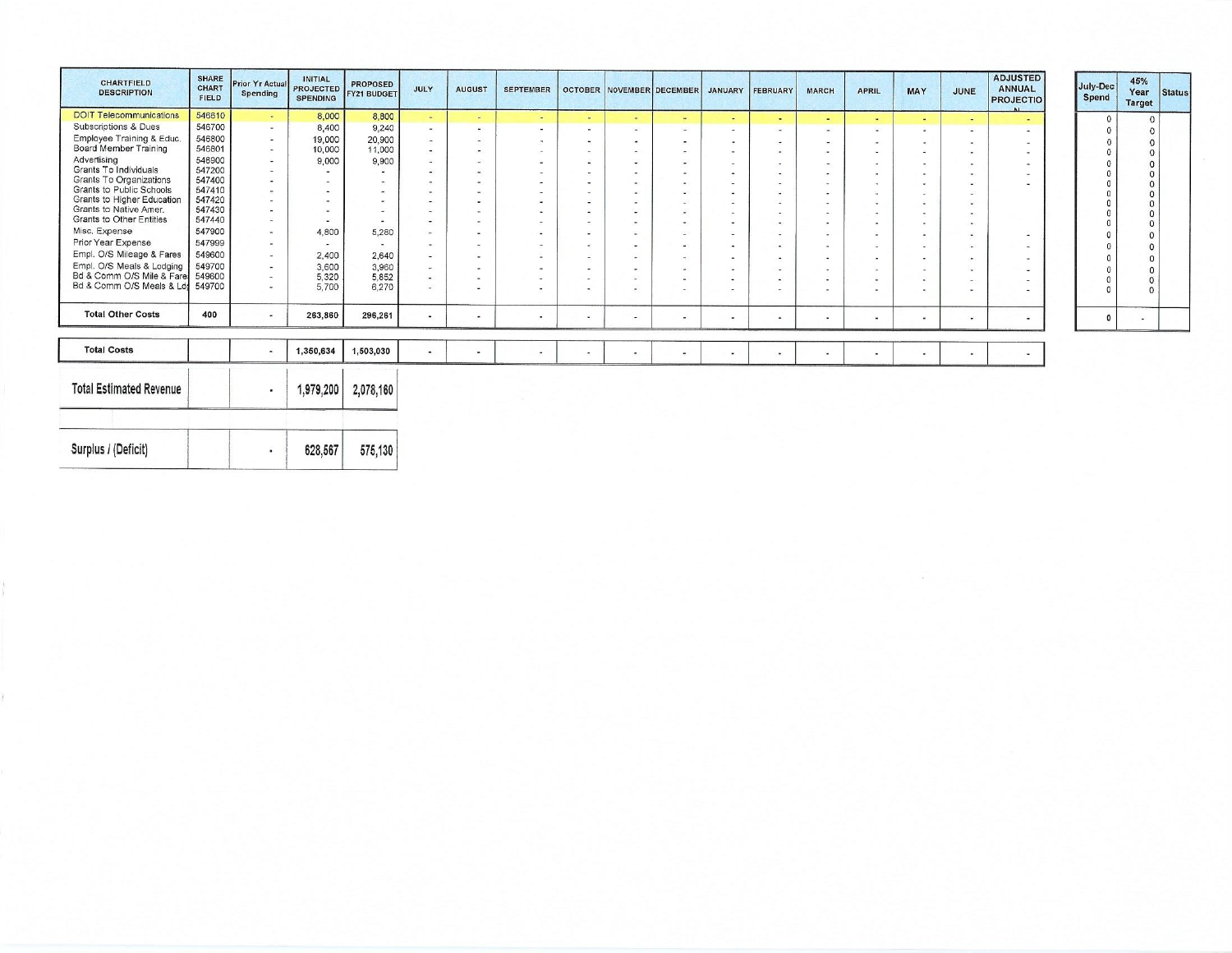| <b>CHARTFIELD</b><br><b>DESCRIPTION</b>                | <b>SHARE</b><br><b>CHART</b><br><b>FIELD</b> | Prior Yr Actual<br><b>Spending</b> | <b>INITIAL</b><br><b>PROJECTED</b><br><b>SPENDING</b> | <b>PROPOSED</b><br><b>FY21 BUDGET</b> | JULY                                                 | <b>AUGUST</b>            | <b>SEPTEMBER</b>                   |                          | <b>OCTOBER NOVEMBER DECEMBER</b> |                          | <b>JANUARY</b>           | <b>FEBRUARY</b>          | <b>MARCH</b>             | <b>APRIL</b>             | <b>MAY</b>               | JUNE                     | <b>ADJUSTED</b><br>July-Dec<br><b>ANNUAL</b><br><b>PROJECTIO</b> |
|--------------------------------------------------------|----------------------------------------------|------------------------------------|-------------------------------------------------------|---------------------------------------|------------------------------------------------------|--------------------------|------------------------------------|--------------------------|----------------------------------|--------------------------|--------------------------|--------------------------|--------------------------|--------------------------|--------------------------|--------------------------|------------------------------------------------------------------|
| <b>DOIT Telecommunications</b>                         | 546610                                       | $\sim$                             | 8,000                                                 | 8,800                                 | $\overline{\phantom{a}}$                             |                          | $\sim$                             | <b>Section</b>           | $\sim$                           | $\blacksquare$           | $\overline{a}$           | $\sim$                   | $\overline{\phantom{a}}$ | $\sim$                   | $\sim$                   | $\sim$                   |                                                                  |
| <b>Subscriptions &amp; Dues</b>                        | 546700                                       | $\sim$                             | 8,400                                                 | 9,240                                 | $\sim$                                               | w.                       | $\overline{\phantom{a}}$           | $\blacksquare$           | Card C                           | $\sim$                   | ۰                        | $\overline{a}$           | -                        | $\overline{\phantom{a}}$ | ٠                        |                          | $\sim$                                                           |
| Employee Training & Educ.                              | 546800                                       | 答                                  | 19,000                                                | 20,900                                | $\overline{a}$                                       | $\overline{\phantom{a}}$ | $\sim$                             | $\blacksquare$           |                                  | $\blacksquare$           | ×.                       | Carl                     | $\sim$                   | $\sim$                   | m.                       |                          |                                                                  |
| Board Member Training                                  | 546801                                       | $\overline{\phantom{a}}$           | 10,000                                                | 11,000                                | $\sim$                                               | $\sim$                   | $\sim$                             | $\sim$                   |                                  | $\blacksquare$           | $\overline{\phantom{0}}$ | $\overline{a}$           | <b>Contract</b>          |                          | $\overline{a}$           |                          |                                                                  |
| Advertising                                            | 546900                                       |                                    | 9,000                                                 | 9,900                                 | $\sim$                                               |                          | $\,$                               | $\sim$                   |                                  | $\frac{1}{2}$            | $\overline{\phantom{a}}$ | $\sim$                   |                          |                          | $\blacksquare$           | ×.                       | $\overline{\phantom{a}}$                                         |
| Grants To Individuals                                  | 547200                                       |                                    |                                                       |                                       | $\sim$                                               | $\overline{\phantom{a}}$ | $\overline{\phantom{a}}$           | $\blacksquare$           | $\sim$                           | $\blacksquare$           | $\blacksquare$           | m.                       | $\sim$                   |                          | $\sim$                   |                          |                                                                  |
| Grants To Organizations                                | 547400                                       |                                    |                                                       |                                       | $\sim$                                               | $\overline{\phantom{a}}$ | $\overline{\phantom{a}}$           | $\sim$                   | $\sim$                           | $\sim$                   | $\overline{\phantom{0}}$ | $\overline{\phantom{a}}$ |                          |                          | $\overline{\phantom{a}}$ |                          |                                                                  |
| Grants to Public Schools<br>Grants to Higher Education | 547410<br>547420                             |                                    |                                                       |                                       | $\blacksquare$                                       | $\blacksquare$           | $\sim$                             | $\sim$                   |                                  | a.                       |                          |                          | <b>Contract</b>          |                          |                          |                          |                                                                  |
| Grants to Native Amer.                                 | 547430                                       |                                    |                                                       |                                       | $\overline{\phantom{a}}$                             |                          | $\sim$                             | a.                       |                                  | m.                       |                          |                          | $\sim$                   |                          |                          |                          |                                                                  |
| <b>Grants to Other Entities</b>                        | 547440                                       |                                    |                                                       |                                       | $\overline{\phantom{a}}$<br>$\overline{\phantom{a}}$ | ۰                        | $\overline{\phantom{a}}$<br>$\sim$ | $\overline{\phantom{a}}$ |                                  | $\overline{\phantom{a}}$ | $\overline{\phantom{a}}$ | -                        | <b>COLL</b>              | <b>COL</b>               |                          |                          |                                                                  |
| Misc. Expense                                          | 547900                                       |                                    | 4,800                                                 | 5,280                                 | $\sim$                                               |                          | $\overline{\phantom{a}}$           | $\sim$<br>÷              |                                  | Text.                    | m.                       | -                        | <b>Section</b>           |                          |                          |                          |                                                                  |
| Prior Year Expense                                     | 547999                                       |                                    |                                                       |                                       |                                                      |                          |                                    |                          |                                  | $\sim$                   |                          |                          |                          | $\sim$                   | ۰                        | $\overline{\phantom{a}}$ | $\overline{\phantom{a}}$                                         |
| Empl. O/S Mileage & Fares                              | 549600                                       |                                    | 2,400                                                 | 2,640                                 | $\sim$<br>$\overline{\phantom{a}}$                   |                          | $\sim$                             | $\sim$                   | ۰.                               | Corp.                    |                          | $\overline{\phantom{a}}$ | <b>Contract</b>          | $\sim$                   | ۰                        |                          |                                                                  |
| Empl. O/S Meals & Lodging                              | 549700                                       |                                    |                                                       |                                       |                                                      |                          | $\sim$                             | ۰                        | $\sim$                           | $\sim$                   |                          | $\blacksquare$           | <b>Contract</b>          |                          |                          | i m                      |                                                                  |
| Bd & Comm O/S Mile & Fare                              | 549600                                       |                                    | 3,600<br>5,320                                        | 3,960<br>5,852                        | ×.<br>$\sim$                                         |                          | $\sim$<br>$\sim$                   | ÷                        |                                  | $\sim$                   | $\sim$                   |                          |                          |                          |                          |                          |                                                                  |
| Bd & Comm O/S Meals & Ldd                              | 549700                                       |                                    | 5,700                                                 | 6,270                                 | ٠                                                    |                          | $\overline{a}$                     |                          | . .                              | $\sim$<br>$\sim$         | -                        | $\overline{\phantom{0}}$ |                          |                          | ×.                       | $\overline{\phantom{a}}$ | $\overline{\phantom{a}}$                                         |
| <b>Total Other Costs</b>                               | 400                                          | ۰                                  | 263,860                                               | 296,261                               | ٠                                                    | ×.                       | $\blacksquare$                     | $\blacksquare$           | $\blacksquare$                   | $\blacksquare$           |                          | ۰                        | Уw.                      | $\;$                     |                          | $\blacksquare$           |                                                                  |
|                                                        |                                              |                                    |                                                       |                                       |                                                      |                          |                                    |                          |                                  |                          |                          |                          |                          |                          |                          |                          |                                                                  |
| <b>Total Costs</b>                                     |                                              | ٠                                  | 1,350,634                                             | 1,503,030                             | $\blacksquare$                                       |                          | $\blacksquare$                     |                          |                                  | $\blacksquare$           |                          | $\blacksquare$           |                          | $\blacksquare$           | <b>Section</b>           | $\blacksquare$           |                                                                  |
| <b>Total Estimated Revenue</b>                         |                                              | $\blacksquare$                     | 1,979,200                                             | 2,078,160                             |                                                      |                          |                                    |                          |                                  |                          |                          |                          |                          |                          |                          |                          |                                                                  |

Surplus / (Deficit)

628,567

 $\ddot{\phantom{a}}$ 

575,130

45% Year

Target  $\overline{0}$  $\circ$ 

0000000000000

 $\sim$ 

Status